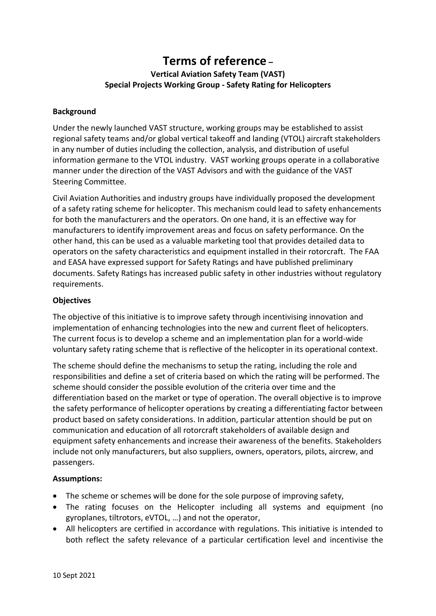# **Terms of reference – Vertical Aviation Safety Team (VAST) Special Projects Working Group - Safety Rating for Helicopters**

## **Background**

Under the newly launched VAST structure, working groups may be established to assist regional safety teams and/or global vertical takeoff and landing (VTOL) aircraft stakeholders in any number of duties including the collection, analysis, and distribution of useful information germane to the VTOL industry. VAST working groups operate in a collaborative manner under the direction of the VAST Advisors and with the guidance of the VAST Steering Committee.

Civil Aviation Authorities and industry groups have individually proposed the development of a safety rating scheme for helicopter. This mechanism could lead to safety enhancements for both the manufacturers and the operators. On one hand, it is an effective way for manufacturers to identify improvement areas and focus on safety performance. On the other hand, this can be used as a valuable marketing tool that provides detailed data to operators on the safety characteristics and equipment installed in their rotorcraft. The FAA and EASA have expressed support for Safety Ratings and have published preliminary documents. Safety Ratings has increased public safety in other industries without regulatory requirements.

## **Objectives**

The objective of this initiative is to improve safety through incentivising innovation and implementation of enhancing technologies into the new and current fleet of helicopters. The current focus is to develop a scheme and an implementation plan for a world-wide voluntary safety rating scheme that is reflective of the helicopter in its operational context.

The scheme should define the mechanisms to setup the rating, including the role and responsibilities and define a set of criteria based on which the rating will be performed. The scheme should consider the possible evolution of the criteria over time and the differentiation based on the market or type of operation. The overall objective is to improve the safety performance of helicopter operations by creating a differentiating factor between product based on safety considerations. In addition, particular attention should be put on communication and education of all rotorcraft stakeholders of available design and equipment safety enhancements and increase their awareness of the benefits. Stakeholders include not only manufacturers, but also suppliers, owners, operators, pilots, aircrew, and passengers.

### **Assumptions:**

- The scheme or schemes will be done for the sole purpose of improving safety,
- The rating focuses on the Helicopter including all systems and equipment (no gyroplanes, tiltrotors, eVTOL, …) and not the operator,
- All helicopters are certified in accordance with regulations. This initiative is intended to both reflect the safety relevance of a particular certification level and incentivise the